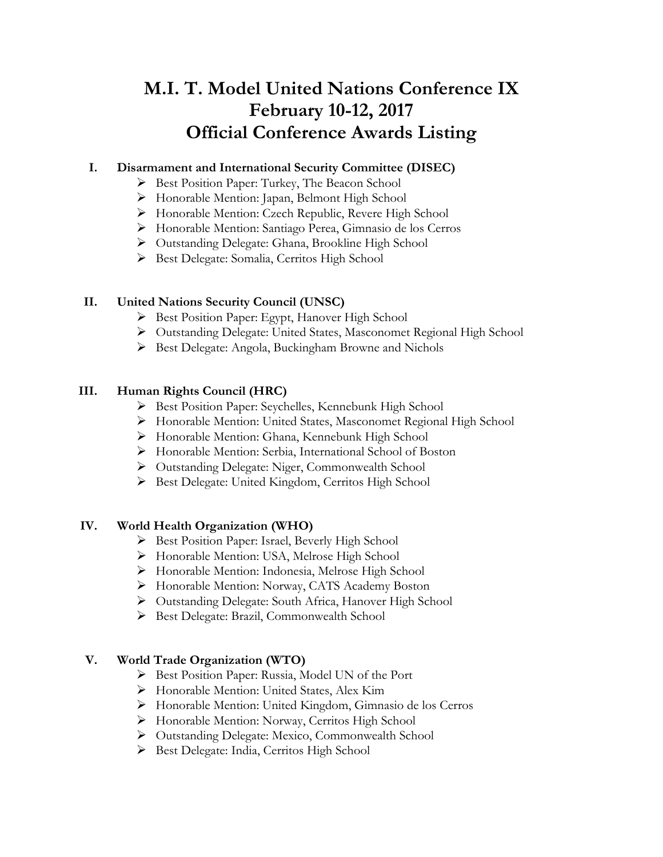# **M.I. T. Model United Nations Conference IX February 10-12, 2017 Official Conference Awards Listing**

## **I. Disarmament and International Security Committee (DISEC)**

- Ø Best Position Paper: Turkey, The Beacon School
- Ø Honorable Mention: Japan, Belmont High School
- Ø Honorable Mention: Czech Republic, Revere High School
- Ø Honorable Mention: Santiago Perea, Gimnasio de los Cerros
- Ø Outstanding Delegate: Ghana, Brookline High School
- Ø Best Delegate: Somalia, Cerritos High School

# **II. United Nations Security Council (UNSC)**

- Ø Best Position Paper: Egypt, Hanover High School
- Ø Outstanding Delegate: United States, Masconomet Regional High School
- Ø Best Delegate: Angola, Buckingham Browne and Nichols

## **III. Human Rights Council (HRC)**

- Ø Best Position Paper: Seychelles, Kennebunk High School
- Ø Honorable Mention: United States, Masconomet Regional High School
- Ø Honorable Mention: Ghana, Kennebunk High School
- Ø Honorable Mention: Serbia, International School of Boston
- Ø Outstanding Delegate: Niger, Commonwealth School
- Ø Best Delegate: United Kingdom, Cerritos High School

### **IV. World Health Organization (WHO)**

- Ø Best Position Paper: Israel, Beverly High School
- Ø Honorable Mention: USA, Melrose High School
- Ø Honorable Mention: Indonesia, Melrose High School
- Ø Honorable Mention: Norway, CATS Academy Boston
- Ø Outstanding Delegate: South Africa, Hanover High School
- Ø Best Delegate: Brazil, Commonwealth School

# **V. World Trade Organization (WTO)**

- Ø Best Position Paper: Russia, Model UN of the Port
- Ø Honorable Mention: United States, Alex Kim
- Ø Honorable Mention: United Kingdom, Gimnasio de los Cerros
- Ø Honorable Mention: Norway, Cerritos High School
- Ø Outstanding Delegate: Mexico, Commonwealth School
- Ø Best Delegate: India, Cerritos High School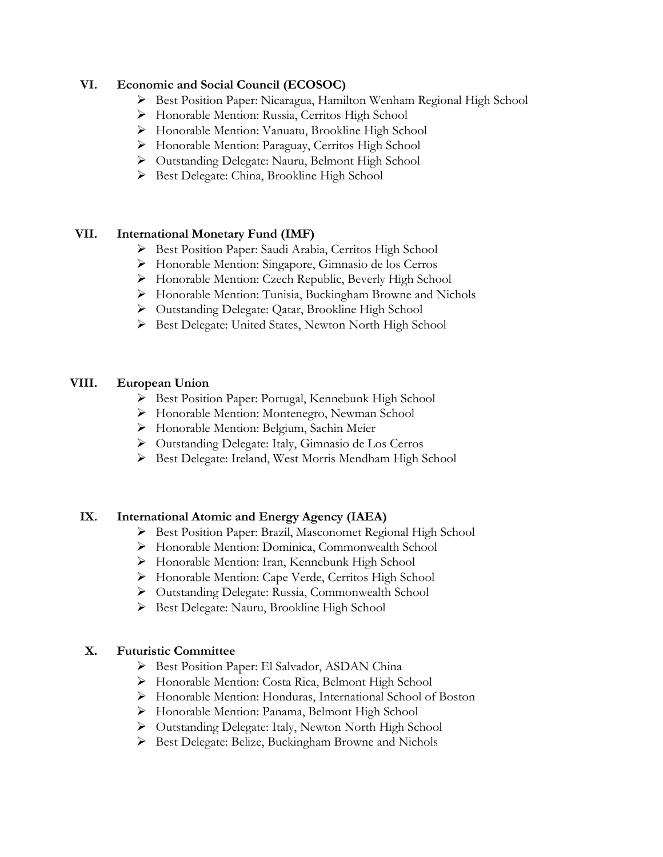#### **VI. Economic and Social Council (ECOSOC)**

- Ø Best Position Paper: Nicaragua, Hamilton Wenham Regional High School
- Ø Honorable Mention: Russia, Cerritos High School
- Ø Honorable Mention: Vanuatu, Brookline High School
- Ø Honorable Mention: Paraguay, Cerritos High School
- Ø Outstanding Delegate: Nauru, Belmont High School
- Ø Best Delegate: China, Brookline High School

#### **VII. International Monetary Fund (IMF)**

- Ø Best Position Paper: Saudi Arabia, Cerritos High School
- Ø Honorable Mention: Singapore, Gimnasio de los Cerros
- Ø Honorable Mention: Czech Republic, Beverly High School
- Ø Honorable Mention: Tunisia, Buckingham Browne and Nichols
- Ø Outstanding Delegate: Qatar, Brookline High School
- Ø Best Delegate: United States, Newton North High School

#### **VIII. European Union**

- Ø Best Position Paper: Portugal, Kennebunk High School
- Ø Honorable Mention: Montenegro, Newman School
- Ø Honorable Mention: Belgium, Sachin Meier
- Ø Outstanding Delegate: Italy, Gimnasio de Los Cerros
- Ø Best Delegate: Ireland, West Morris Mendham High School

#### **IX. International Atomic and Energy Agency (IAEA)**

- Ø Best Position Paper: Brazil, Masconomet Regional High School
- Ø Honorable Mention: Dominica, Commonwealth School
- Ø Honorable Mention: Iran, Kennebunk High School
- Ø Honorable Mention: Cape Verde, Cerritos High School
- Ø Outstanding Delegate: Russia, Commonwealth School
- Ø Best Delegate: Nauru, Brookline High School

#### **X. Futuristic Committee**

- Ø Best Position Paper: El Salvador, ASDAN China
- Ø Honorable Mention: Costa Rica, Belmont High School
- Ø Honorable Mention: Honduras, International School of Boston
- Ø Honorable Mention: Panama, Belmont High School
- Ø Outstanding Delegate: Italy, Newton North High School
- Ø Best Delegate: Belize, Buckingham Browne and Nichols